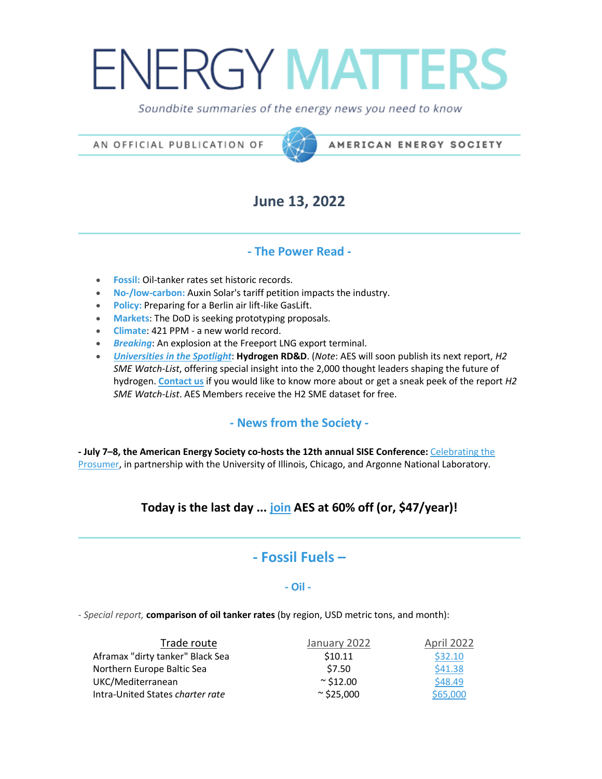# ENERGY MATTERS

Soundbite summaries of the energy news you need to know

AN OFFICIAL PUBLICATION OF



### AMERICAN ENERGY SOCIETY

# **June 13, 2022**

### **- The Power Read -**

- **Fossil:** Oil-tanker rates set historic records.
- **No-/low-carbon:** Auxin Solar's tariff petition impacts the industry.
- **Policy:** Preparing for a Berlin air lift-like GasLift.
- **Markets**: The DoD is seeking prototyping proposals.
- **Climate**: 421 PPM a new world record.
- *Breaking*: An explosion at the Freeport LNG export terminal.
- *[Universities in the Spotlight](mailto:meggie@energysociety.org?subject=I%27d%20like%20to%20know%20more%20about%20hydrogen%20resources%20at%20AES)*: **Hydrogen RD&D**. (*Note*: AES will soon publish its next report, *H2 SME Watch-List*, offering special insight into the 2,000 thought leaders shaping the future of hydrogen. **[Contact us](mailto:ansel@energysociety.org?subject=I%20hear%20rumors%20that%20you%20are%20publishing%20a%20special%20report%20on%20H2)** if you would like to know more about or get a sneak peek of the report *H2 SME Watch-List*. AES Members receive the H2 SME dataset for free.

### **- News from the Society -**

**- July 7–8, the American Energy Society co-hosts the 12th annual SISE Conference:** [Celebrating the](https://www.energysociety.org/energyeventsoverview.html)  [Prosumer,](https://www.energysociety.org/energyeventsoverview.html) in partnership with the University of Illinois, Chicago, and Argonne National Laboratory.

### **Today is the last day ... [join](https://members.energysociety.org/member/plans/ae4327b54f) AES at 60% off (or, \$47/year)!**

# **- Fossil Fuels –**

### **- Oil -**

- *Special report,* **comparison of oil tanker rates** (by region, USD metric tons, and month):

| Trade route                      | January 2022      | April 2022 |
|----------------------------------|-------------------|------------|
| Aframax "dirty tanker" Black Sea | \$10.11           | \$32.10    |
| Northern Europe Baltic Sea       | \$7.50            | \$41.38    |
| UKC/Mediterranean                | $\approx$ \$12.00 | \$48.49    |
| Intra-United States charter rate | $\sim$ \$25,000   | \$65,000   |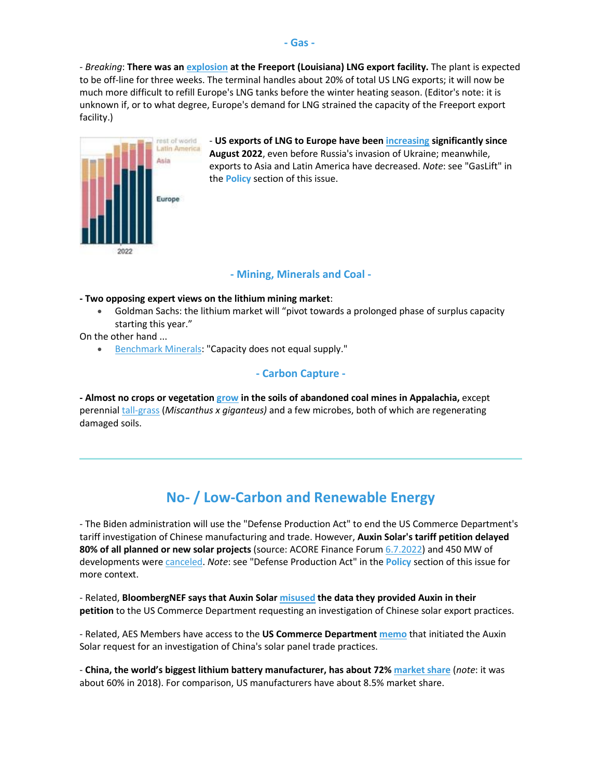#### **- Gas -**

- *Breaking*: **There was an [explosion](https://www.maritime-executive.com/article/video-explosion-shutters-freeport-lng-export-plant-for-three-weeks) at the Freeport (Louisiana) LNG export facility.** The plant is expected to be off-line for three weeks. The terminal handles about 20% of total US LNG exports; it will now be much more difficult to refill Europe's LNG tanks before the winter heating season. (Editor's note: it is unknown if, or to what degree, Europe's demand for LNG strained the capacity of the Freeport export facility.)



- **US exports of LNG to Europe have been [increasing](https://www.eia.gov/todayinenergy/detail.php?id=52659) significantly since August 2022**, even before Russia's invasion of Ukraine; meanwhile, exports to Asia and Latin America have decreased. *Note*: see "GasLift" in the **Policy** section of this issue.

### **- Mining, Minerals and Coal -**

### **- Two opposing expert views on the lithium mining market**:

• Goldman Sachs: the lithium market will "pivot towards a prolonged phase of surplus capacity starting this year."

On the other hand ...

• [Benchmark Minerals:](https://www.benchmarkminerals.com/membership/lithium-oversupply-not-likely-five-main-reasons-why/) "Capacity does not equal supply."

**- Carbon Capture -**

**- Almost no crops or vegetation [grow](https://www.mining.com/mountaintop-coal-mining-threatens-appalachian-biodiversity/) in the soils of abandoned coal mines in Appalachia,** except perennial [tall-grass \(](https://www.mining.com/researchers-study-role-of-tall-grass-in-post-mining-soil-recovery/)*Miscanthus x giganteus)* and a few microbes, both of which are regenerating damaged soils.

# **No- / Low-Carbon and Renewable Energy**

- The Biden administration will use the "Defense Production Act" to end the US Commerce Department's tariff investigation of Chinese manufacturing and trade. However, **Auxin Solar's tariff petition delayed 80% of all planned or new solar projects** (source: ACORE Finance Forum [6.7.2022\)](https://acorefinanceforum.org/) and 450 MW of developments were [canceled.](https://www.renewableenergyworld.com/solar/u-s-solar-installations-fell-sharply-in-q1-but-residential-solar-offers-a-bright-spot/) *Note*: see "Defense Production Act" in the **Policy** section of this issue for more context.

- Related, **BloombergNEF says that Auxin Solar [misused](https://www.canarymedia.com/articles/solar/bnef-says-auxin-misinterpreted-its-research-in-calling-for-solar-tariffs) the data they provided Auxin in their petition** to the US Commerce Department requesting an investigation of Chinese solar export practices.

- Related, AES Members have access to the **US Commerce Department [memo](https://seia.org/sites/default/files/2022-03/CommerceAuxinDecision.pdf)** that initiated the Auxin Solar request for an investigation of China's solar panel trade practices.

- **China, the world's biggest lithium battery manufacturer, has about 72% [market share](https://www.onecharge.biz/blog/how-china-came-to-dominate-the-market-for-lithium-batteries-and-why-the-u-s-cannot-copy-their-model/)** (*note*: it was about 60% in 2018). For comparison, US manufacturers have about 8.5% market share.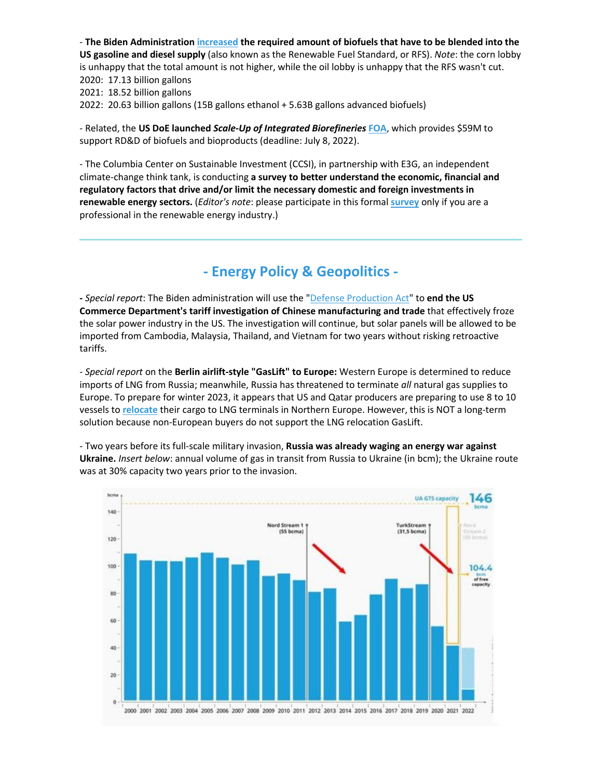- **The Biden Administration [increased](https://www.whitehouse.gov/briefing-room/statements-releases/2022/04/12/fact-sheet-using-homegrown-biofuels-to-address-putins-price-hike-at-the-pump-and-lower-costs-for-american-families/) the required amount of biofuels that have to be blended into the US gasoline and diesel supply** (also known as the Renewable Fuel Standard, or RFS). *Note*: the corn lobby is unhappy that the total amount is not higher, while the oil lobby is unhappy that the RFS wasn't cut. 2020: 17.13 billion gallons 2021: 18.52 billion gallons

2022: 20.63 billion gallons (15B gallons ethanol + 5.63B gallons advanced biofuels)

- Related, the **US DoE launched** *Scale-Up of Integrated Biorefineries* **[FOA](https://www.energy.gov/eere/bioenergy/articles/us-department-energy-announces-59-million-expand-biofuels-production-and)**, which provides \$59M to support RD&D of biofuels and bioproducts (deadline: July 8, 2022).

- The Columbia Center on Sustainable Investment (CCSI), in partnership with E3G, an independent climate-change think tank, is conducting **a survey to better understand the economic, financial and regulatory factors that drive and/or limit the necessary domestic and foreign investments in renewable energy sectors.** (*Editor's note*: please participate in this formal **[survey](https://docs.google.com/forms/d/e/1FAIpQLSfqRkaTClZh6OE4NAXPhWRvDG-jxuFxc55WyQ-yvg67MSK4UQ/viewform)** only if you are a professional in the renewable energy industry.)

# **- Energy Policy & Geopolitics -**

**-** *Special report*: The Biden administration will use the ["Defense Production Act"](https://www.npr.org/2022/06/06/1103291476/biden-solar-panel-imports-defense-production-act) to **end the US Commerce Department's tariff investigation of Chinese manufacturing and trade** that effectively froze the solar power industry in the US. The investigation will continue, but solar panels will be allowed to be imported from Cambodia, Malaysia, Thailand, and Vietnam for two years without risking retroactive tariffs.

- *Special report* on the **Berlin airlift-style "GasLift" to Europe:** Western Europe is determined to reduce imports of LNG from Russia; meanwhile, Russia has threatened to terminate *all* natural gas supplies to Europe. To prepare for winter 2023, it appears that US and Qatar producers are preparing to use 8 to 10 vessels to **[relocate](https://www.bakerinstitute.org/media/files/files/7961aa90/bi-brief-032922-ces-troubled-water.pdf)** their cargo to LNG terminals in Northern Europe. However, this is NOT a long-term solution because non-European buyers do not support the LNG relocation GasLift.

- Two years before its full-scale military invasion, **Russia was already waging an energy war against Ukraine.** *Insert below*: annual volume of gas in transit from Russia to Ukraine (in bcm); the Ukraine route was at 30% capacity two years prior to the invasion.

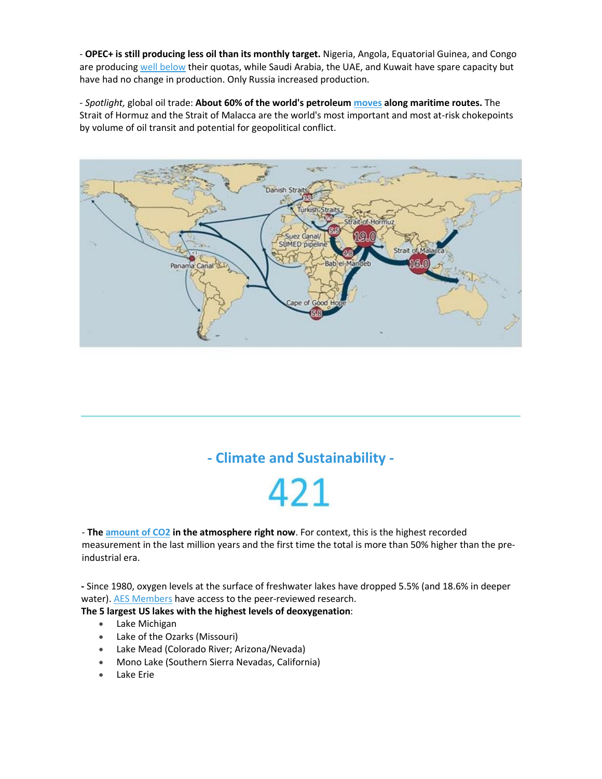- **OPEC+ is still producing less oil than its monthly target.** Nigeria, Angola, Equatorial Guinea, and Congo are producing [well below](https://twitter.com/HermsTheWord/status/1535039392246530070/photo/2) their quotas, while Saudi Arabia, the UAE, and Kuwait have spare capacity but have had no change in production. Only Russia increased production.

- *Spotlight,* global oil trade: **About 60% of the world's petroleum [moves](https://www.eia.gov/international/analysis/special-topics/World_Oil_Transit_Chokepoints) along maritime routes.** The Strait of Hormuz and the Strait of Malacca are the world's most important and most at-risk chokepoints by volume of oil transit and potential for geopolitical conflict.



# **- Climate and Sustainability -**

# 421

- **The [amount of CO2](https://gml.noaa.gov/ccgg/trends/data.html) in the atmosphere right now**. For context, this is the highest recorded measurement in the last million years and the first time the total is more than 50% higher than the preindustrial era.

**-** Since 1980, oxygen levels at the surface of freshwater lakes have dropped 5.5% (and 18.6% in deeper water). [AES Members](https://www.nature.com/articles/s41586-021-03550-y) have access to the peer-reviewed research.

### **The 5 largest US lakes with the highest levels of deoxygenation**:

- Lake Michigan
- Lake of the Ozarks (Missouri)
- Lake Mead (Colorado River; Arizona/Nevada)
- Mono Lake (Southern Sierra Nevadas, California)
- Lake Erie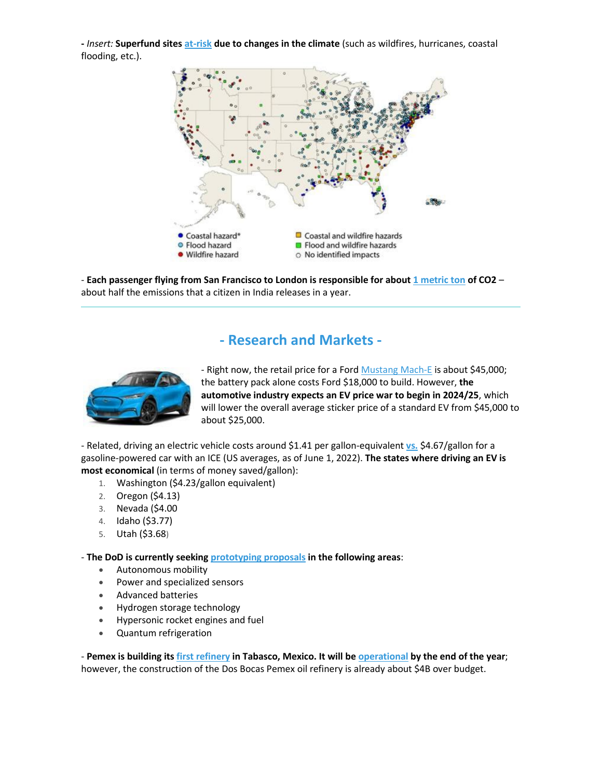**-** *Insert:* **Superfund sites [at-risk](https://www.climaterealityproject.org/blog/climate-change-could-spell-disaster-superfund-sites) due to changes in the climate** (such as wildfires, hurricanes, coastal flooding, etc.).



- **Each passenger flying from San Francisco to London is responsible for about [1 metric ton](https://grist.org/technology/aviation-can-meet-paris-targets-if-it-makes-massive-changes/) of CO2** – about half the emissions that a citizen in India releases in a year.

### **- Research and Markets -**



- Right now, the retail price for a Ford [Mustang Mach-E](https://electrek-co.cdn.ampproject.org/c/s/electrek.co/2022/06/01/electric-car-price-war-coming-ford-ceo/amp/) is about \$45,000; the battery pack alone costs Ford \$18,000 to build. However, **the automotive industry expects an EV price war to begin in 2024/25**, which will lower the overall average sticker price of a standard EV from \$45,000 to about \$25,000.

- Related, driving an electric vehicle costs around \$1.41 per gallon-equivalent **[vs.](https://yaleclimateconnections.org/2022/06/driving-with-electricity-is-much-cheaper-than-with-gasoline/)** \$4.67/gallon for a gasoline-powered car with an ICE (US averages, as of June 1, 2022). **The states where driving an EV is most economical** (in terms of money saved/gallon):

1. Washington (\$4.23/gallon equivalent)

- 2. Oregon (\$4.13)
- 3. Nevada (\$4.00
- 4. Idaho (\$3.77)
- 5. Utah (\$3.68)

- **The DoD is currently seeking [prototyping proposals](https://www.nsic.mil/) in the following areas**:

- Autonomous mobility
- Power and specialized sensors
- Advanced batteries
- Hydrogen storage technology
- Hypersonic rocket engines and fuel
- Quantum refrigeration

- **Pemex is building its [first refinery](https://oilprice.com/Energy/Energy-General/Mexico-Slashes-Oil-Exports-To-India.html) in Tabasco, Mexico. It will be [operational](https://www.bnamericas.com/en/news/mexicos-dos-bocas-refinery-87-complete-say-authorities) by the end of the year**; however, the construction of the Dos Bocas Pemex oil refinery is already about \$4B over budget.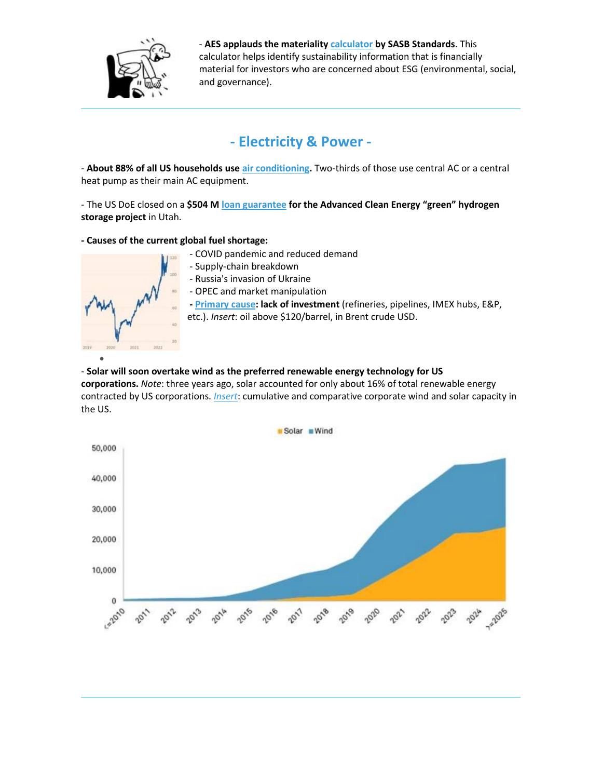

- **AES applauds the materiality [calculator](https://www.sasb.org/standards/materiality-finder/?lang=en-us) by SASB Standards**. This calculator helps identify sustainability information that is financially material for investors who are concerned about ESG (environmental, social, and governance).

**- Electricity & Power -**

- **About 88% of all US households use [air conditioning.](https://www.eia.gov/todayinenergy/detail.php?id=52558)** Two-thirds of those use central AC or a central heat pump as their main AC equipment.

- The US DoE closed on a **\$504 M [loan guarantee](https://www.utilitydive.com/news/doe-loan-guarantee-utah-hydrogen-storage-mitsubishi/625190/) for the Advanced Clean Energy "green" hydrogen storage project** in Utah.

### **- Causes of the current global fuel shortage:**



- COVID pandemic and reduced demand
- Supply-chain breakdown
- Russia's invasion of Ukraine
- OPEC and market manipulation

 **[- Primary cause:](https://www.ft.com/content/792171d7-ae3c-469c-bac6-295fd217bd57) lack of investment** (refineries, pipelines, IMEX hubs, E&P, etc.). *Insert*: oil above \$120/barrel, in Brent crude USD.

- **Solar will soon overtake wind as the preferred renewable energy technology for US corporations.** *Note*: three years ago, solar accounted for only about 16% of total renewable energy contracted by US corporations. *[Insert](https://pages.marketintelligence.spglobal.com/rs/565-BDO-100/images/us-corporate-renewables-outlook-2022-infographic.pdf)*: cumulative and comparative corporate wind and solar capacity in the US.

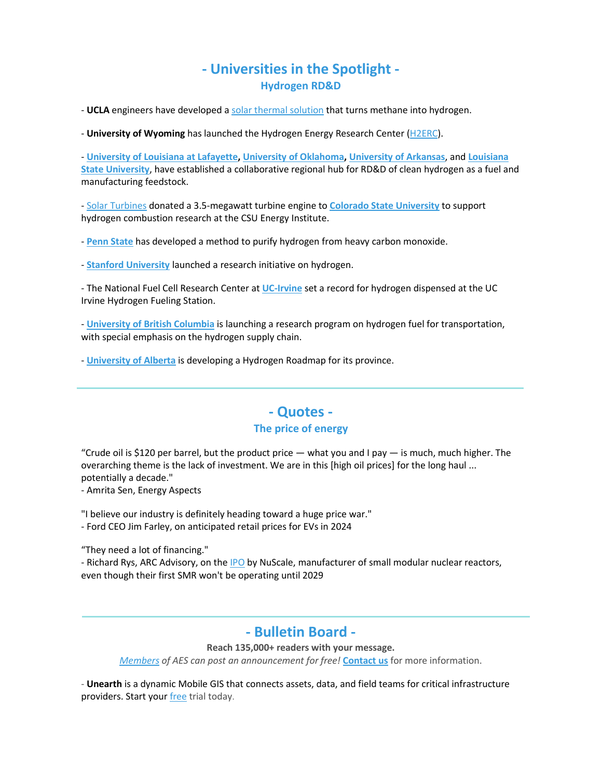## **- Universities in the Spotlight - Hydrogen RD&D**

- **UCLA** engineers have developed a [solar thermal solution](https://samueli.ucla.edu/ucla-engineers-develop-emission-free-process-turning-methane-gas-to-hydrogen-and-graphitic-carbon/) that turns methane into hydrogen.

- **University of Wyoming** has launched the Hydrogen Energy Research Center [\(H2ERC\)](https://www.uwyo.edu/ser/research/centers-of-excellence/hydrogen-energy-research/index.html).

- **[University of Louisiana at Lafayette,](https://louisiana.edu/news-events/news/20220321/alternative-energy-capacity-earns-university-spot-%E2%80%98hydrogen-hub%E2%80%99) [University of Oklahoma,](https://www.ou.edu/web/news_events/articles/news_2022/ou-to-support-tri-state-hydrogen-hub) [University of Arkansas](https://news.uark.edu/articles/46579/researchers-find-cost-effective-method-for-hydrogen-fuel-production-process)**, and **[Louisiana](https://www.lsu.edu/mediacenter/news/2022/03/16ored_hydrogenhub.php)  [State University](https://www.lsu.edu/mediacenter/news/2022/03/16ored_hydrogenhub.php)**, have established a collaborative regional hub for RD&D of clean hydrogen as a fuel and manufacturing feedstock.

- [Solar Turbines](https://www.solarturbines.com/en_US.html) donated a 3.5-megawatt turbine engine to **[Colorado State University](https://engr.source.colostate.edu/donated-3-5-megawatt-engine-supports-clean-energy-hydrogen-fuel-research-at-csu/)** to support hydrogen combustion research at the CSU Energy Institute.

- **[Penn State](https://www.psu.edu/news/engineering/story/new-method-purifies-hydrogen-heavy-carbon-monoxide-mixtures/)** has developed a method to purify hydrogen from heavy carbon monoxide.

- **[Stanford University](https://news.stanford.edu/2022/05/06/research-initiative-hydrogen-decarbonization/)** launched a research initiative on hydrogen.

- The National Fuel Cell Research Center at **[UC-Irvine](https://www.nfcrc.uci.edu/Press_Releases.html)** set a record for hydrogen dispensed at the UC Irvine Hydrogen Fueling Station.

- **[University of British Columbia](https://cerc.ubc.ca/hydrogen-2/)** is launching a research program on hydrogen fuel for transportation, with special emphasis on the hydrogen supply chain.

- **[University of Alberta](https://www.alberta.ca/hydrogen-roadmap.aspx)** is developing a Hydrogen Roadmap for its province.

# **- Quotes -**

### **The price of energy**

"Crude oil is \$120 per barrel, but the product price  $-$  what you and I pay  $-$  is much, much higher. The overarching theme is the lack of investment. We are in this [high oil prices] for the long haul ... potentially a decade."

- Amrita Sen, Energy Aspects

"I believe our industry is definitely heading toward a huge price war."

- Ford CEO Jim Farley, on anticipated retail prices for EVs in 2024

"They need a lot of financing."

- Richard Rys, ARC Advisory, on the [IPO](https://www.utilitydive.com/news/nuscale-makes-public-debut-but-requires-a-lot-of-financing-to-launch-smal/624568/) by NuScale, manufacturer of small modular nuclear reactors, even though their first SMR won't be operating until 2029

## **- Bulletin Board -**

### **Reach 135,000+ readers with your message.**

*[Members](https://www.energysociety.org/join.html) of AES can post an announcement for free!* **[Contact us](mailto:travis@energysociety.org?subject=I%20would%20like%20to%20submit%20news%20to%20the%20new%20AES%20Bulleting%20Board)** for more information.

- **Unearth** is a dynamic Mobile GIS that connects assets, data, and field teams for critical infrastructure providers. Start your [free](https://www.unearthlabs.com/) trial today.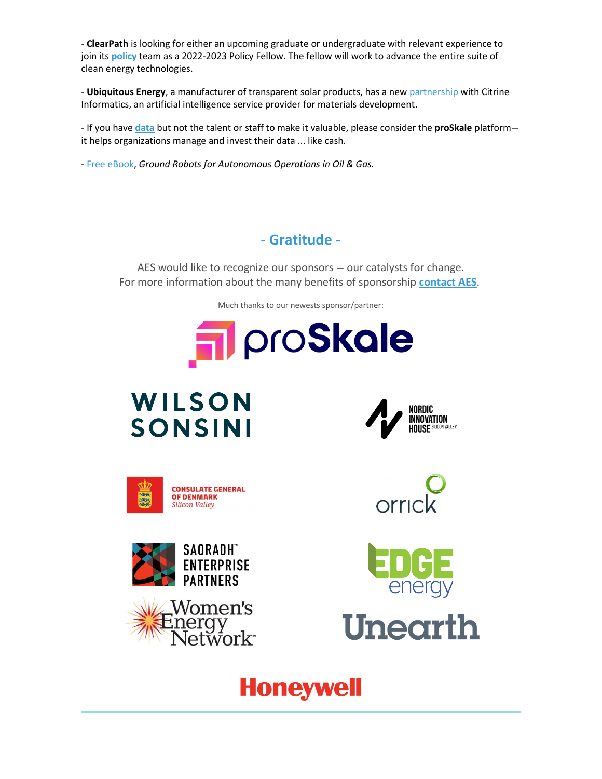- **ClearPath** is looking for either an upcoming graduate or undergraduate with relevant experience to join its **[policy](https://clearpath.org/careers/)** team as a 2022-2023 Policy Fellow. The fellow will work to advance the entire suite of clean energy technologies.

- **Ubiquitous Energy**, a manufacturer of transparent solar products, has a new [partnership](https://www.businesswire.com/news/home/20220502005119/en/Ubiquitous-Energy-Announces-Partnership-with-Citrine-Informatics-for-AI-Driven-Solar-Materials-Discovery) with Citrine Informatics, an artificial intelligence service provider for materials development.

- If you have **[data](https://proskale.com/)** but not the talent or staff to make it valuable, please consider the **proSkale** platform it helps organizations manage and invest their data ... like cash.

- [Free eBook,](https://www.dronedeploy.com/resources/ebooks/ground-robots-for-autonomous-operations/) *Ground Robots for Autonomous Operations in Oil & Gas.*

# **- Gratitude -**

AES would like to recognize our sponsors — our catalysts for change. For more information about the many benefits of sponsorship **[contact AES](mailto:travis@energysociety.org?subject=I%27m%20interested%20in%20group%20and%20sponsorship%20opportunities)**.

Much thanks to our newests sponsor/partner:

















# **Honeywell**